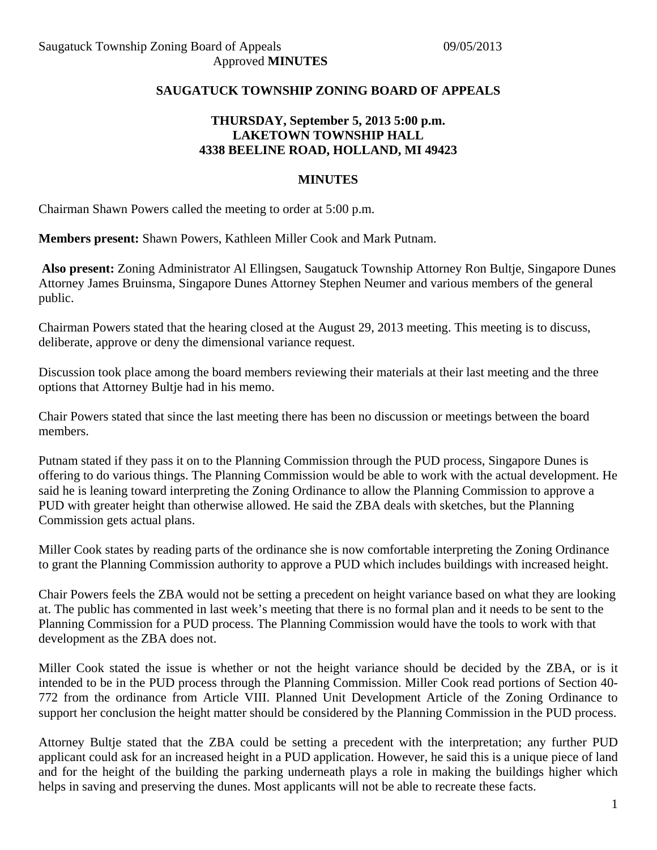## **SAUGATUCK TOWNSHIP ZONING BOARD OF APPEALS**

## **THURSDAY, September 5, 2013 5:00 p.m. LAKETOWN TOWNSHIP HALL 4338 BEELINE ROAD, HOLLAND, MI 49423**

## **MINUTES**

Chairman Shawn Powers called the meeting to order at 5:00 p.m.

**Members present:** Shawn Powers, Kathleen Miller Cook and Mark Putnam.

**Also present:** Zoning Administrator Al Ellingsen, Saugatuck Township Attorney Ron Bultje, Singapore Dunes Attorney James Bruinsma, Singapore Dunes Attorney Stephen Neumer and various members of the general public.

Chairman Powers stated that the hearing closed at the August 29, 2013 meeting. This meeting is to discuss, deliberate, approve or deny the dimensional variance request.

Discussion took place among the board members reviewing their materials at their last meeting and the three options that Attorney Bultje had in his memo.

Chair Powers stated that since the last meeting there has been no discussion or meetings between the board members.

Putnam stated if they pass it on to the Planning Commission through the PUD process, Singapore Dunes is offering to do various things. The Planning Commission would be able to work with the actual development. He said he is leaning toward interpreting the Zoning Ordinance to allow the Planning Commission to approve a PUD with greater height than otherwise allowed. He said the ZBA deals with sketches, but the Planning Commission gets actual plans.

Miller Cook states by reading parts of the ordinance she is now comfortable interpreting the Zoning Ordinance to grant the Planning Commission authority to approve a PUD which includes buildings with increased height.

Chair Powers feels the ZBA would not be setting a precedent on height variance based on what they are looking at. The public has commented in last week's meeting that there is no formal plan and it needs to be sent to the Planning Commission for a PUD process. The Planning Commission would have the tools to work with that development as the ZBA does not.

Miller Cook stated the issue is whether or not the height variance should be decided by the ZBA, or is it intended to be in the PUD process through the Planning Commission. Miller Cook read portions of Section 40- 772 from the ordinance from Article VIII. Planned Unit Development Article of the Zoning Ordinance to support her conclusion the height matter should be considered by the Planning Commission in the PUD process.

Attorney Bultje stated that the ZBA could be setting a precedent with the interpretation; any further PUD applicant could ask for an increased height in a PUD application. However, he said this is a unique piece of land and for the height of the building the parking underneath plays a role in making the buildings higher which helps in saving and preserving the dunes. Most applicants will not be able to recreate these facts.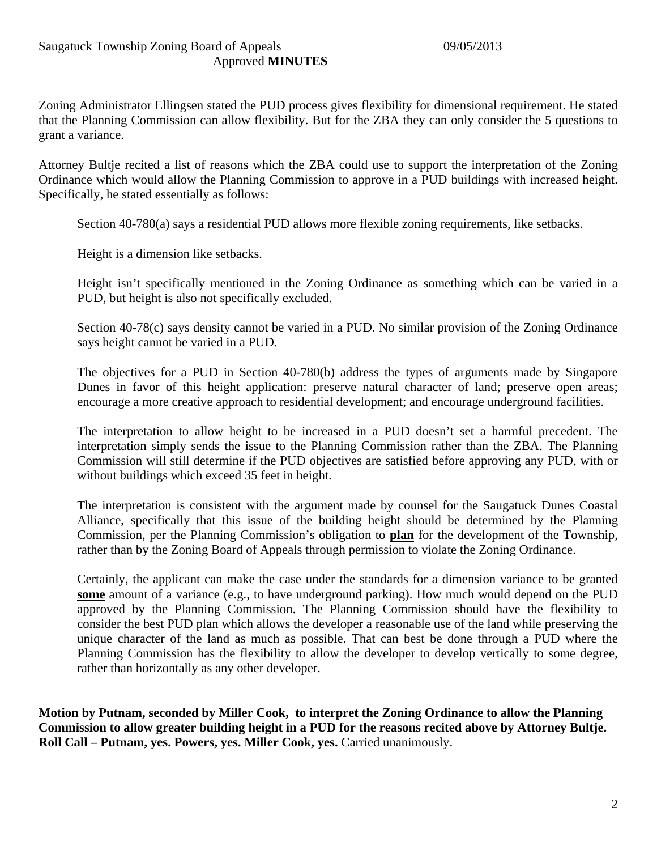Zoning Administrator Ellingsen stated the PUD process gives flexibility for dimensional requirement. He stated that the Planning Commission can allow flexibility. But for the ZBA they can only consider the 5 questions to grant a variance.

Attorney Bultje recited a list of reasons which the ZBA could use to support the interpretation of the Zoning Ordinance which would allow the Planning Commission to approve in a PUD buildings with increased height. Specifically, he stated essentially as follows:

Section 40-780(a) says a residential PUD allows more flexible zoning requirements, like setbacks.

Height is a dimension like setbacks.

Height isn't specifically mentioned in the Zoning Ordinance as something which can be varied in a PUD, but height is also not specifically excluded.

Section 40-78(c) says density cannot be varied in a PUD. No similar provision of the Zoning Ordinance says height cannot be varied in a PUD.

The objectives for a PUD in Section 40-780(b) address the types of arguments made by Singapore Dunes in favor of this height application: preserve natural character of land; preserve open areas; encourage a more creative approach to residential development; and encourage underground facilities.

The interpretation to allow height to be increased in a PUD doesn't set a harmful precedent. The interpretation simply sends the issue to the Planning Commission rather than the ZBA. The Planning Commission will still determine if the PUD objectives are satisfied before approving any PUD, with or without buildings which exceed 35 feet in height.

The interpretation is consistent with the argument made by counsel for the Saugatuck Dunes Coastal Alliance, specifically that this issue of the building height should be determined by the Planning Commission, per the Planning Commission's obligation to **plan** for the development of the Township, rather than by the Zoning Board of Appeals through permission to violate the Zoning Ordinance.

Certainly, the applicant can make the case under the standards for a dimension variance to be granted **some** amount of a variance (e.g., to have underground parking). How much would depend on the PUD approved by the Planning Commission. The Planning Commission should have the flexibility to consider the best PUD plan which allows the developer a reasonable use of the land while preserving the unique character of the land as much as possible. That can best be done through a PUD where the Planning Commission has the flexibility to allow the developer to develop vertically to some degree, rather than horizontally as any other developer.

**Motion by Putnam, seconded by Miller Cook, to interpret the Zoning Ordinance to allow the Planning Commission to allow greater building height in a PUD for the reasons recited above by Attorney Bultje. Roll Call – Putnam, yes. Powers, yes. Miller Cook, yes. Carried unanimously.**